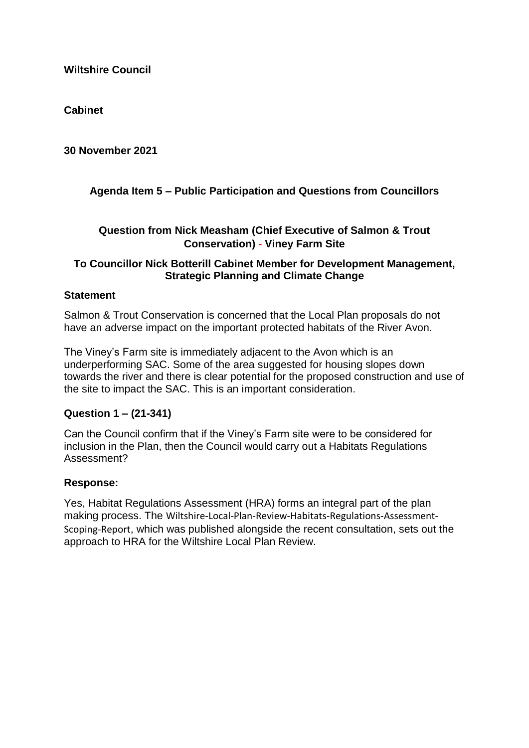**Cabinet**

**30 November 2021**

# **Agenda Item 5 – Public Participation and Questions from Councillors**

## **Question from Nick Measham (Chief Executive of Salmon & Trout Conservation) - Viney Farm Site**

## **To Councillor Nick Botterill Cabinet Member for Development Management, Strategic Planning and Climate Change**

## **Statement**

Salmon & Trout Conservation is concerned that the Local Plan proposals do not have an adverse impact on the important protected habitats of the River Avon.

The Viney's Farm site is immediately adjacent to the Avon which is an underperforming SAC. Some of the area suggested for housing slopes down towards the river and there is clear potential for the proposed construction and use of the site to impact the SAC. This is an important consideration.

## **Question 1 – (21-341)**

Can the Council confirm that if the Viney's Farm site were to be considered for inclusion in the Plan, then the Council would carry out a Habitats Regulations Assessment?

## **Response:**

Yes, Habitat Regulations Assessment (HRA) forms an integral part of the plan making process. The [Wiltshire-Local-Plan-Review-Habitats-Regulations-Assessment-](https://eur02.safelinks.protection.outlook.com/?url=https%3A%2F%2Fwww.wiltshire.gov.uk%2Fmedia%2F5720%2FWiltshire-Local-Plan-Review-Habitats-Regulations-Assessment-Scoping-Report%2Fpdf%2FLPR_HRA_Wiltshire_HRA_Scoping.pdf%3Fm%3D637460563180270000&data=04%7C01%7Cfiona.amor%40wiltshire.gov.uk%7C73b8558ea6664c07e81d08d9b0f61d19%7C5546e75e3be14813b0ff26651ea2fe19%7C0%7C0%7C637735393354339489%7CUnknown%7CTWFpbGZsb3d8eyJWIjoiMC4wLjAwMDAiLCJQIjoiV2luMzIiLCJBTiI6Ik1haWwiLCJXVCI6Mn0%3D%7C3000&sdata=qcFQWPfKkaZhty9o3ogrcjLiHkTLdntqO81vodnfkL8%3D&reserved=0)[Scoping-Report](https://eur02.safelinks.protection.outlook.com/?url=https%3A%2F%2Fwww.wiltshire.gov.uk%2Fmedia%2F5720%2FWiltshire-Local-Plan-Review-Habitats-Regulations-Assessment-Scoping-Report%2Fpdf%2FLPR_HRA_Wiltshire_HRA_Scoping.pdf%3Fm%3D637460563180270000&data=04%7C01%7Cfiona.amor%40wiltshire.gov.uk%7C73b8558ea6664c07e81d08d9b0f61d19%7C5546e75e3be14813b0ff26651ea2fe19%7C0%7C0%7C637735393354339489%7CUnknown%7CTWFpbGZsb3d8eyJWIjoiMC4wLjAwMDAiLCJQIjoiV2luMzIiLCJBTiI6Ik1haWwiLCJXVCI6Mn0%3D%7C3000&sdata=qcFQWPfKkaZhty9o3ogrcjLiHkTLdntqO81vodnfkL8%3D&reserved=0), which was published alongside the recent consultation, sets out the approach to HRA for the Wiltshire Local Plan Review.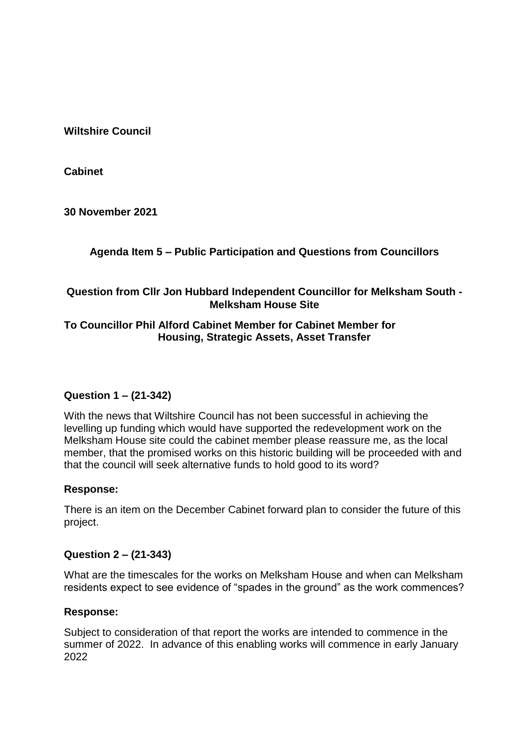**Cabinet**

**30 November 2021**

**Agenda Item 5 – Public Participation and Questions from Councillors**

# **Question from Cllr Jon Hubbard Independent Councillor for Melksham South - Melksham House Site**

## **To Councillor Phil Alford Cabinet Member for Cabinet Member for Housing, Strategic Assets, Asset Transfer**

# **Question 1 – (21-342)**

With the news that Wiltshire Council has not been successful in achieving the levelling up funding which would have supported the redevelopment work on the Melksham House site could the cabinet member please reassure me, as the local member, that the promised works on this historic building will be proceeded with and that the council will seek alternative funds to hold good to its word?

## **Response:**

There is an item on the December Cabinet forward plan to consider the future of this project.

## **Question 2 – (21-343)**

What are the timescales for the works on Melksham House and when can Melksham residents expect to see evidence of "spades in the ground" as the work commences?

## **Response:**

Subject to consideration of that report the works are intended to commence in the summer of 2022. In advance of this enabling works will commence in early January 2022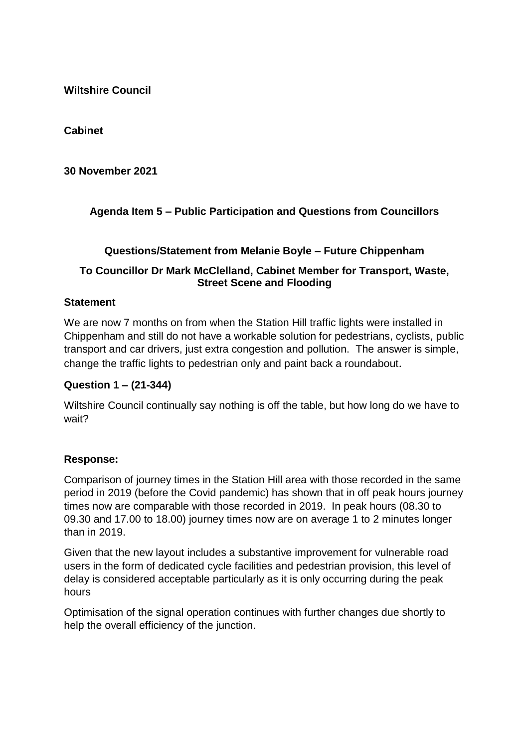**Cabinet**

**30 November 2021**

# **Agenda Item 5 – Public Participation and Questions from Councillors**

## **Questions/Statement from Melanie Boyle – Future Chippenham**

## **To Councillor Dr Mark McClelland, Cabinet Member for Transport, Waste, Street Scene and Flooding**

## **Statement**

We are now 7 months on from when the Station Hill traffic lights were installed in Chippenham and still do not have a workable solution for pedestrians, cyclists, public transport and car drivers, just extra congestion and pollution. The answer is simple, change the traffic lights to pedestrian only and paint back a roundabout.

## **Question 1 – (21-344)**

Wiltshire Council continually say nothing is off the table, but how long do we have to wait?

## **Response:**

Comparison of journey times in the Station Hill area with those recorded in the same period in 2019 (before the Covid pandemic) has shown that in off peak hours journey times now are comparable with those recorded in 2019. In peak hours (08.30 to 09.30 and 17.00 to 18.00) journey times now are on average 1 to 2 minutes longer than in 2019.

Given that the new layout includes a substantive improvement for vulnerable road users in the form of dedicated cycle facilities and pedestrian provision, this level of delay is considered acceptable particularly as it is only occurring during the peak hours

Optimisation of the signal operation continues with further changes due shortly to help the overall efficiency of the junction.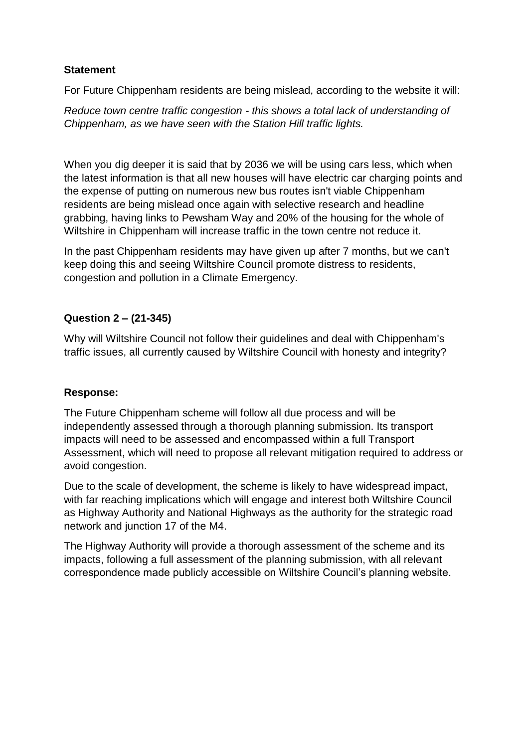## **Statement**

For Future Chippenham residents are being mislead, according to the website it will:

*Reduce town centre traffic congestion - this shows a total lack of understanding of Chippenham, as we have seen with the Station Hill traffic lights.*

When you dig deeper it is said that by 2036 we will be using cars less, which when the latest information is that all new houses will have electric car charging points and the expense of putting on numerous new bus routes isn't viable Chippenham residents are being mislead once again with selective research and headline grabbing, having links to Pewsham Way and 20% of the housing for the whole of Wiltshire in Chippenham will increase traffic in the town centre not reduce it.

In the past Chippenham residents may have given up after 7 months, but we can't keep doing this and seeing Wiltshire Council promote distress to residents, congestion and pollution in a Climate Emergency.

# **Question 2 – (21-345)**

Why will Wiltshire Council not follow their guidelines and deal with Chippenham's traffic issues, all currently caused by Wiltshire Council with honesty and integrity?

## **Response:**

The Future Chippenham scheme will follow all due process and will be independently assessed through a thorough planning submission. Its transport impacts will need to be assessed and encompassed within a full Transport Assessment, which will need to propose all relevant mitigation required to address or avoid congestion.

Due to the scale of development, the scheme is likely to have widespread impact, with far reaching implications which will engage and interest both Wiltshire Council as Highway Authority and National Highways as the authority for the strategic road network and junction 17 of the M4.

The Highway Authority will provide a thorough assessment of the scheme and its impacts, following a full assessment of the planning submission, with all relevant correspondence made publicly accessible on Wiltshire Council's planning website.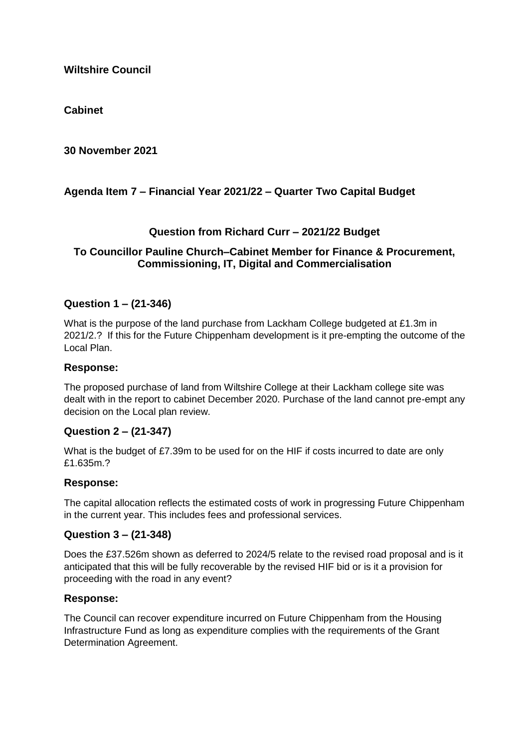## **Cabinet**

**30 November 2021**

# **Agenda Item 7 – Financial Year 2021/22 – Quarter Two Capital Budget**

## **Question from Richard Curr – 2021/22 Budget**

## **To Councillor Pauline Church–Cabinet Member for Finance & Procurement, Commissioning, IT, Digital and Commercialisation**

## **Question 1 – (21-346)**

What is the purpose of the land purchase from Lackham College budgeted at £1.3m in 2021/2.? If this for the Future Chippenham development is it pre-empting the outcome of the Local Plan.

### **Response:**

The proposed purchase of land from Wiltshire College at their Lackham college site was dealt with in the report to cabinet December 2020. Purchase of the land cannot pre-empt any decision on the Local plan review.

### **Question 2 – (21-347)**

What is the budget of £7.39m to be used for on the HIF if costs incurred to date are only £1.635m.?

### **Response:**

The capital allocation reflects the estimated costs of work in progressing Future Chippenham in the current year. This includes fees and professional services.

### **Question 3 – (21-348)**

Does the £37.526m shown as deferred to 2024/5 relate to the revised road proposal and is it anticipated that this will be fully recoverable by the revised HIF bid or is it a provision for proceeding with the road in any event?

### **Response:**

The Council can recover expenditure incurred on Future Chippenham from the Housing Infrastructure Fund as long as expenditure complies with the requirements of the Grant Determination Agreement.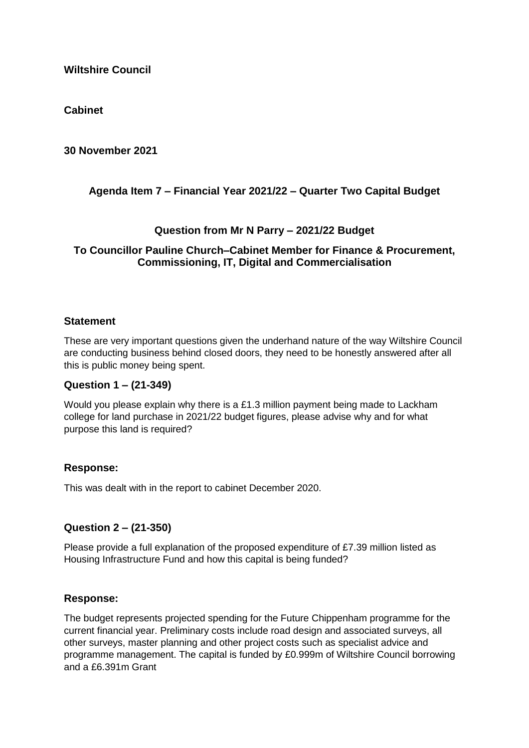**Cabinet**

**30 November 2021**

# **Agenda Item 7 – Financial Year 2021/22 – Quarter Two Capital Budget**

## **Question from Mr N Parry – 2021/22 Budget**

## **To Councillor Pauline Church–Cabinet Member for Finance & Procurement, Commissioning, IT, Digital and Commercialisation**

## **Statement**

These are very important questions given the underhand nature of the way Wiltshire Council are conducting business behind closed doors, they need to be honestly answered after all this is public money being spent.

## **Question 1 – (21-349)**

Would you please explain why there is a £1.3 million payment being made to Lackham college for land purchase in 2021/22 budget figures, please advise why and for what purpose this land is required?

## **Response:**

This was dealt with in the report to cabinet December 2020.

# **Question 2 – (21-350)**

Please provide a full explanation of the proposed expenditure of £7.39 million listed as Housing Infrastructure Fund and how this capital is being funded?

## **Response:**

The budget represents projected spending for the Future Chippenham programme for the current financial year. Preliminary costs include road design and associated surveys, all other surveys, master planning and other project costs such as specialist advice and programme management. The capital is funded by £0.999m of Wiltshire Council borrowing and a £6.391m Grant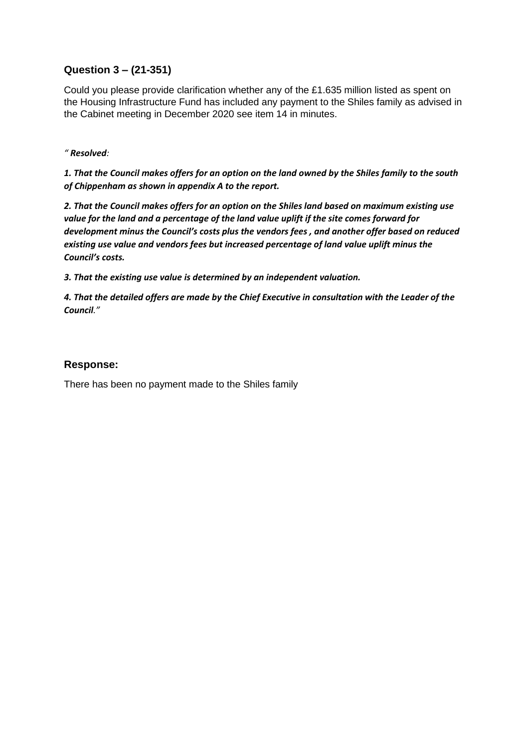# **Question 3 – (21-351)**

Could you please provide clarification whether any of the £1.635 million listed as spent on the Housing Infrastructure Fund has included any payment to the Shiles family as advised in the Cabinet meeting in December 2020 see item 14 in minutes.

#### *" Resolved:*

*1. That the Council makes offers for an option on the land owned by the Shiles family to the south of Chippenham as shown in appendix A to the report.* 

*2. That the Council makes offers for an option on the Shiles land based on maximum existing use value for the land and a percentage of the land value uplift if the site comes forward for development minus the Council's costs plus the vendors fees , and another offer based on reduced existing use value and vendors fees but increased percentage of land value uplift minus the Council's costs.* 

*3. That the existing use value is determined by an independent valuation.* 

*4. That the detailed offers are made by the Chief Executive in consultation with the Leader of the Council."*

### **Response:**

There has been no payment made to the Shiles family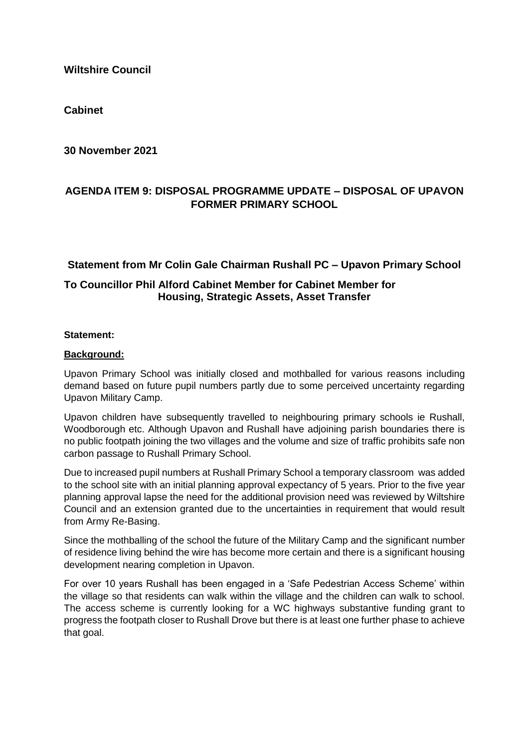**Cabinet**

**30 November 2021**

## **AGENDA ITEM 9: DISPOSAL PROGRAMME UPDATE – DISPOSAL OF UPAVON FORMER PRIMARY SCHOOL**

## **Statement from Mr Colin Gale Chairman Rushall PC – Upavon Primary School**

## **To Councillor Phil Alford Cabinet Member for Cabinet Member for Housing, Strategic Assets, Asset Transfer**

### **Statement:**

### **Background:**

Upavon Primary School was initially closed and mothballed for various reasons including demand based on future pupil numbers partly due to some perceived uncertainty regarding Upavon Military Camp.

Upavon children have subsequently travelled to neighbouring primary schools ie Rushall, Woodborough etc. Although Upavon and Rushall have adjoining parish boundaries there is no public footpath joining the two villages and the volume and size of traffic prohibits safe non carbon passage to Rushall Primary School.

Due to increased pupil numbers at Rushall Primary School a temporary classroom was added to the school site with an initial planning approval expectancy of 5 years. Prior to the five year planning approval lapse the need for the additional provision need was reviewed by Wiltshire Council and an extension granted due to the uncertainties in requirement that would result from Army Re-Basing.

Since the mothballing of the school the future of the Military Camp and the significant number of residence living behind the wire has become more certain and there is a significant housing development nearing completion in Upavon.

For over 10 years Rushall has been engaged in a 'Safe Pedestrian Access Scheme' within the village so that residents can walk within the village and the children can walk to school. The access scheme is currently looking for a WC highways substantive funding grant to progress the footpath closer to Rushall Drove but there is at least one further phase to achieve that goal.